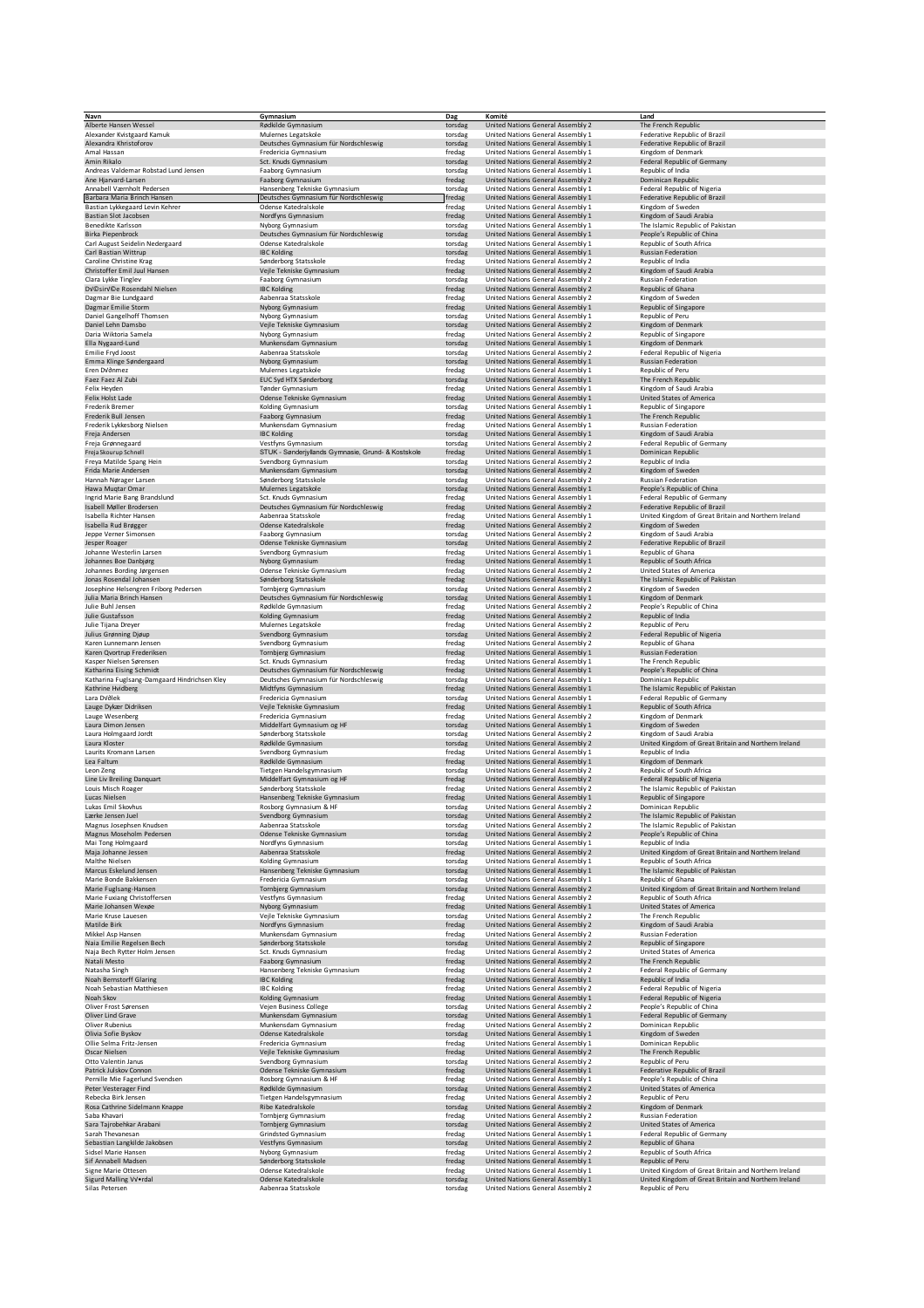| Navn                                                      | Gymnasium                                                     | Dag                | Komité                                                                 | Land                                                                             |
|-----------------------------------------------------------|---------------------------------------------------------------|--------------------|------------------------------------------------------------------------|----------------------------------------------------------------------------------|
| Alberte Hansen Wessel                                     | Rødkilde Gymnasium                                            | torsdag            | United Nations General Assembly 2                                      | The French Republic                                                              |
| Alexander Kvistgaard Kamuk                                | Mulernes Legatskole                                           | torsdag            | United Nations General Assembly 1                                      | Federative Republic of Brazil                                                    |
| Alexandra Khristoforov<br>Amal Hassan                     | Deutsches Gymnasium für Nordschleswig<br>Fredericia Gymnasium | torsdag<br>fredag  | United Nations General Assembly 1<br>United Nations General Assembly 1 | Federative Republic of Brazil<br>Kingdom of Denmark                              |
| Amin Rikalo                                               | Sct. Knuds Gymnasium                                          | torsdag            | United Nations General Assembly 2                                      | Federal Republic of Germany                                                      |
| Andreas Valdemar Robstad Lund Jensen                      | Faaborg Gymnasium                                             | torsdag            | United Nations General Assembly 1                                      | Republic of India                                                                |
| Ane Hjarvard-Larsen                                       | Faaborg Gymnasium                                             | fredag             | United Nations General Assembly 2                                      | Dominican Republic                                                               |
| Annabell Værnholt Pedersen                                | Hansenberg Tekniske Gymnasium                                 | torsdag            | United Nations General Assembly 1                                      | Federal Republic of Nigeria                                                      |
| Barbara Maria Brinch Hansen                               | Deutsches Gymnasium für Nordschleswig                         | fredag             | United Nations General Assembly 1                                      | Federative Republic of Brazil                                                    |
| Bastian Lykkegaard Levin Kehrer                           | Odense Katedralskole                                          | fredag             | United Nations General Assembly 1                                      | Kingdom of Sweden                                                                |
| Bastian Slot Jacobsen                                     | Nordfyns Gymnasium                                            | fredag             | United Nations General Assembly 1                                      | Kingdom of Saudi Arabia                                                          |
| Benedikte Karlsson                                        | Nyborg Gymnasium                                              | torsdag            | United Nations General Assembly 1                                      | The Islamic Republic of Pakistan                                                 |
| Birka Piepenbrock                                         | Deutsches Gymnasium für Nordschleswig                         | torsdag            | United Nations General Assembly 1                                      | People's Republic of China                                                       |
| Carl August Seidelin Nedergaard                           | Odense Katedralskole                                          | torsdag            | United Nations General Assembly 1                                      | Republic of South Africa                                                         |
| Carl Bastian Wittrup<br>Caroline Christine Krag           | <b>IBC Kolding</b><br>Sønderborg Statsskole                   | torsdag            | United Nations General Assembly 1<br>United Nations General Assembly 2 | <b>Russian Federation</b><br>Republic of India                                   |
| Christoffer Emil Juul Hansen                              | Vejle Tekniske Gymnasium                                      | fredag<br>fredag   | United Nations General Assembly 2                                      | Kingdom of Saudi Arabia                                                          |
| Clara Lykke Tinglev                                       | Faaborg Gymnasium                                             | torsdag            | United Nations General Assembly 2                                      | <b>Russian Federation</b>                                                        |
| DV©sirV©e Rosendahl Nielsen                               | <b>IBC Kolding</b>                                            | fredag             | United Nations General Assembly 2                                      | Republic of Ghana                                                                |
| Dagmar Bie Lundgaard                                      | Aabenraa Statsskole                                           | fredag             | United Nations General Assembly 2                                      | Kingdom of Sweden                                                                |
| Dagmar Emilie Storm                                       | Nyborg Gymnasium                                              | fredag             | United Nations General Assembly 1                                      | Republic of Singapore                                                            |
| Daniel Gangelhoff Thomsen                                 | Nyborg Gymnasium                                              | torsdag            | United Nations General Assembly 1                                      | Republic of Peru                                                                 |
| Daniel Lehn Damsbo                                        | Vejle Tekniske Gymnasium                                      | torsdag            | United Nations General Assembly 2                                      | Kingdom of Denmark                                                               |
| Daria Wiktoria Samela                                     | Nyborg Gymnasium                                              | fredag             | United Nations General Assembly 2                                      | Republic of Singapore                                                            |
| Ella Nygaard-Lund                                         | Munkensdam Gymnasium                                          | torsdag            | United Nations General Assembly 1                                      | Kingdom of Denmark                                                               |
| Emilie Fryd Joost                                         | Aabenraa Statsskole                                           | torsdag            | United Nations General Assembly 2                                      | Federal Republic of Nigeria                                                      |
| Emma Klinge Søndergaard                                   | Nyborg Gymnasium                                              | torsdag            | United Nations General Assembly 1                                      | <b>Russian Federation</b>                                                        |
| Eren DVdnmez<br>Faez Faez Al Zubi                         | Mulernes Legatskole<br>EUC Syd HTX Sønderborg                 | fredag<br>torsdag  | United Nations General Assembly 1<br>United Nations General Assembly 1 | Republic of Peru<br>The French Republic                                          |
| Felix Heyden                                              | Tønder Gymnasium                                              | fredag             | United Nations General Assembly 1                                      | Kingdom of Saudi Arabia                                                          |
| Felix Holst Lade                                          | Odense Tekniske Gymnasium                                     | fredag             | United Nations General Assembly 1                                      | United States of America                                                         |
| Frederik Bremer                                           | Kolding Gymnasium                                             | torsdag            | United Nations General Assembly 1                                      | Republic of Singapore                                                            |
| Frederik Bull Jensen                                      | Faaborg Gymnasium                                             | fredag             | United Nations General Assembly 1                                      | The French Republic                                                              |
| Frederik Lykkesborg Nielsen                               | Munkensdam Gymnasium                                          | fredag             | United Nations General Assembly 1                                      | <b>Russian Federation</b>                                                        |
| Freja Andersen                                            | <b>IBC Kolding</b>                                            | torsdag            | United Nations General Assembly 1                                      | Kingdom of Saudi Arabia                                                          |
| Freja Grønnegaard                                         | Vestfyns Gymnasium                                            | torsdag            | United Nations General Assembly 2                                      | Federal Republic of Germany                                                      |
| Freja Skourup Schnell                                     | STUK - Sønderjyllands Gymnasie, Grund- & Kostskole            | fredag             | United Nations General Assembly 1                                      | Dominican Republic                                                               |
| Freya Matilde Spang Hein                                  | Svendborg Gymnasium                                           | torsdag            | United Nations General Assembly 2                                      | Republic of India                                                                |
| Frida Marie Andersen                                      | Munkensdam Gymnasium                                          | torsdag            | United Nations General Assembly 2                                      | Kingdom of Sweden                                                                |
| Hannah Nørager Larsen                                     | Sønderborg Statsskole                                         | torsdag            | United Nations General Assembly 2                                      | <b>Russian Federation</b>                                                        |
| Hawa Muqtar Omar<br>Ingrid Marie Bang Brandslund          | Mulernes Legatskole<br>Sct. Knuds Gymnasium                   | torsdag            | United Nations General Assembly 1<br>United Nations General Assembly 1 | People's Republic of China<br>Federal Republic of Germany                        |
| Isabell Møller Brodersen                                  | Deutsches Gymnasium für Nordschleswig                         | fredag<br>fredag   | United Nations General Assembly 2                                      | Federative Republic of Brazil                                                    |
| Isabella Richter Hansen                                   | Aabenraa Statsskole                                           | fredag             | United Nations General Assembly 1                                      | United Kingdom of Great Britain and Northern Ireland                             |
| Isabella Rud Brøgger                                      | Odense Katedralskole                                          | fredag             | United Nations General Assembly 2                                      | Kingdom of Sweden                                                                |
| Jeppe Verner Simonsen                                     | Faaborg Gymnasium                                             | torsdag            | United Nations General Assembly 2                                      | Kingdom of Saudi Arabia                                                          |
| Jesper Roager                                             | Odense Tekniske Gymnasium                                     | torsdag            | United Nations General Assembly 2                                      | Federative Republic of Brazil                                                    |
| Johanne Westerlin Larsen                                  | Svendborg Gymnasium                                           | fredag             | United Nations General Assembly 1                                      | Republic of Ghana                                                                |
| Johannes Boe Danbjørg                                     | Nyborg Gymnasium                                              | fredag             | United Nations General Assembly 1                                      | Republic of South Africa                                                         |
| Johannes Bording Jørgensen                                | Odense Tekniske Gymnasium                                     | fredag             | United Nations General Assembly 2                                      | United States of America                                                         |
| Jonas Rosendal Johansen                                   | Sønderborg Statsskole                                         | fredag             | United Nations General Assembly 1                                      | The Islamic Republic of Pakistan                                                 |
| Josephine Helsengren Friborg Pedersen                     | Tornbjerg Gymnasium                                           | torsdag            | United Nations General Assembly 2                                      | Kingdom of Sweden                                                                |
| Julia Maria Brinch Hansen                                 | Deutsches Gymnasium für Nordschleswig                         | torsdag            | United Nations General Assembly 1                                      | Kingdom of Denmark                                                               |
| Julie Buhl Jensen                                         | Rødkilde Gymnasium                                            | fredag             | United Nations General Assembly 2                                      | People's Republic of China                                                       |
| Julie Gustafsson                                          | Kolding Gymnasium                                             | fredag             | United Nations General Assembly 2                                      | Republic of India                                                                |
| Julie Tijana Dreyer<br>Julius Grønning Djøup              | Mulernes Legatskole<br>Svendborg Gymnasium                    | fredag<br>torsdag  | United Nations General Assembly 2<br>United Nations General Assembly 2 | Republic of Peru<br>Federal Republic of Nigeria                                  |
| Karen Lunnemann Jensen                                    | Svendborg Gymnasium                                           | fredag             | United Nations General Assembly 2                                      | Republic of Ghana                                                                |
| Karen Qvortrup Frederiksen                                | Tornbjerg Gymnasium                                           | fredag             | United Nations General Assembly 1                                      | <b>Russian Federation</b>                                                        |
| Kasper Nielsen Sørensen                                   | Sct. Knuds Gymnasium                                          | fredag             | United Nations General Assembly 1                                      | The French Republic                                                              |
| Katharina Eising Schmidt                                  | Deutsches Gymnasium für Nordschleswig                         | fredag             | United Nations General Assembly 1                                      | People's Republic of China                                                       |
| Katharina Fuglsang-Damgaard Hindrichsen Kley              | Deutsches Gymnasium für Nordschleswig                         | torsdag            | United Nations General Assembly 1                                      | Dominican Republic                                                               |
| Kathrine Hvidberg                                         | Midtfyns Gymnasium                                            | fredag             | United Nations General Assembly 1                                      | The Islamic Republic of Pakistan                                                 |
| Lara DVdlek                                               | Fredericia Gymnasium                                          | torsdag            | United Nations General Assembly 1                                      | Federal Republic of Germany                                                      |
| Lauge Dykær Didriksen                                     | Vejle Tekniske Gymnasium                                      | fredag             | United Nations General Assembly 1                                      | Republic of South Africa                                                         |
| Lauge Wesenberg                                           | Fredericia Gymnasium                                          | fredag             | United Nations General Assembly 2                                      | Kingdom of Denmark                                                               |
| Laura Dimon Jensen                                        | Middelfart Gymnasium og HF                                    | torsdag            | United Nations General Assembly 1                                      | Kingdom of Sweden                                                                |
| Laura Holmgaard Jordt<br>Laura Kloster                    | Sønderborg Statsskole                                         | torsdag            | United Nations General Assembly 2                                      | Kingdom of Saudi Arabia                                                          |
| Laurits Kromann Larsen                                    | Rødkilde Gymnasium                                            | torsdag<br>fredag  | United Nations General Assembly 2<br>United Nations General Assembly 1 | United Kingdom of Great Britain and Northern Ireland<br>Republic of India        |
| Lea Faltum                                                | Svendborg Gymnasium<br>Rødkilde Gymnasium                     | fredag             | United Nations General Assembly 1                                      | Kingdom of Denmark                                                               |
| Leon Zeng                                                 | Tietgen Handelsgymnasium                                      | torsdag            | United Nations General Assembly 2                                      | Republic of South Africa                                                         |
| Line Liv Breiling Danquart                                | Middelfart Gymnasium og HF                                    | fredag             | United Nations General Assembly 2                                      | Federal Republic of Nigeria                                                      |
| Louis Misch Roager                                        | Sønderborg Statsskole                                         | fredag             | United Nations General Assembly 2                                      | The Islamic Republic of Pakistan                                                 |
| Lucas Nielsen                                             | Hansenberg Tekniske Gymnasium                                 | fredag             | United Nations General Assembly 1                                      | Republic of Singapore                                                            |
| Lukas Emil Skovhus                                        | Rosborg Gymnasium & HF                                        | torsdag            | United Nations General Assembly 2                                      | Dominican Republic                                                               |
| Lærke Jensen Juel                                         | Svendborg Gymnasium                                           | torsdag            | United Nations General Assembly 2                                      | The Islamic Republic of Pakistan                                                 |
| Magnus Josephsen Knudsen                                  | Aabenraa Statsskole                                           | torsdag            | United Nations General Assembly 2                                      | The Islamic Republic of Pakistan                                                 |
| Magnus Moseholm Pedersen                                  | Odense Tekniske Gymnasium                                     | torsdag            | United Nations General Assembly 2                                      | People's Republic of China                                                       |
| Mai Tong Holmgaard                                        | Nordfyns Gymnasium                                            | torsdag            | United Nations General Assembly 1                                      | Republic of India                                                                |
| Maja Johanne Jessen<br>Malthe Nielsen                     | Aabenraa Statsskole<br>Kolding Gymnasium                      | fredag<br>torsdag  | United Nations General Assembly 2<br>United Nations General Assembly 1 | United Kingdom of Great Britain and Northern Ireland<br>Republic of South Africa |
| Marcus Eskelund Jensen                                    | Hansenberg Tekniske Gymnasium                                 | torsdag            | United Nations General Assembly 1                                      | The Islamic Republic of Pakistan                                                 |
| Marie Bonde Bakkensen                                     | Fredericia Gymnasium                                          | torsdag            | United Nations General Assembly 1                                      | Republic of Ghana                                                                |
| Marie Fuglsang-Hansen                                     | Tornbjerg Gymnasium                                           | torsdag            | United Nations General Assembly 2                                      | United Kingdom of Great Britain and Northern Ireland                             |
| Marie Fuxiang Christoffersen                              | Vestfyns Gymnasium                                            | fredag             | United Nations General Assembly 2                                      | Republic of South Africa                                                         |
| Marie Johansen Wexøe                                      | Nyborg Gymnasium                                              | fredag             | United Nations General Assembly 1                                      | <b>United States of America</b>                                                  |
| Marie Kruse Lauesen                                       | Vejle Tekniske Gymnasium                                      | torsdag            | United Nations General Assembly 2                                      | The French Republic                                                              |
| Matilde Birk                                              | Nordfyns Gymnasium                                            | fredag             | United Nations General Assembly 2                                      | Kingdom of Saudi Arabia                                                          |
| Mikkel Asp Hansen                                         | Munkensdam Gymnasium                                          | fredag             | United Nations General Assembly 2                                      | Russian Federation                                                               |
| Naia Emilie Regelsen Bech                                 | Sønderborg Statsskole                                         | torsdag            | United Nations General Assembly 2                                      | Republic of Singapore<br>United States of America                                |
| Naja Bech Rytter Holm Jensen<br>Natali Mesto              | Sct. Knuds Gymnasium<br>Faaborg Gymnasium                     | fredag             | United Nations General Assembly 2<br>United Nations General Assembly 2 | The French Republic                                                              |
| Natasha Singh                                             | Hansenberg Tekniske Gymnasium                                 | fredag<br>fredag   | United Nations General Assembly 2                                      | Federal Republic of Germany                                                      |
| Noah Bernstorff Glaring                                   | <b>IBC Kolding</b>                                            | fredag             | United Nations General Assembly 1                                      | Republic of India                                                                |
| Noah Sebastian Matthiesen                                 | <b>IBC Kolding</b>                                            | fredag             | United Nations General Assembly 2                                      | Federal Republic of Nigeria                                                      |
| Noah Skov                                                 | Kolding Gymnasium                                             | fredag             | United Nations General Assembly 1                                      | Federal Republic of Nigeria                                                      |
| Oliver Frost Sørensen                                     | Vejen Business College                                        | torsdag            | United Nations General Assembly 2                                      | People's Republic of China                                                       |
| Oliver Lind Grave                                         | Munkensdam Gymnasium                                          | torsdag            | United Nations General Assembly 1                                      | Federal Republic of Germany                                                      |
| Oliver Rubenius                                           | Munkensdam Gymnasium                                          | fredag             | United Nations General Assembly 2                                      | Dominican Republic                                                               |
| Olivia Sofie Byskov                                       | Odense Katedralskole                                          | torsdag            | United Nations General Assembly 1                                      | Kingdom of Sweden                                                                |
| Ollie Selma Fritz-Jensen                                  | Fredericia Gymnasium                                          | fredag             | United Nations General Assembly 1                                      | Dominican Republic                                                               |
| Oscar Nielsen                                             | Vejle Tekniske Gymnasium                                      | fredag             | United Nations General Assembly 2                                      | The French Republic                                                              |
| Otto Valentin Janus                                       | Svendborg Gymnasium<br>Odense Tekniske Gymnasium              | torsdag            | United Nations General Assembly 2<br>United Nations General Assembly 1 | Republic of Peru<br>Federative Republic of Brazil                                |
| Patrick Julskov Connon<br>Pernille Mie Fagerlund Svendsen | Rosborg Gymnasium & HF                                        | fredag             | United Nations General Assembly 1                                      | People's Republic of China                                                       |
| Peter Vesterager Find                                     | Rødkilde Gymnasium                                            | fredag<br>torsdag  | United Nations General Assembly 2                                      | United States of America                                                         |
| Rebecka Birk Jensen                                       | Tietgen Handelsgymnasium                                      | fredag             | United Nations General Assembly 2                                      | Republic of Peru                                                                 |
| Rosa Cathrine Sidelmann Knappe                            | Ribe Katedralskole                                            | torsdag            | United Nations General Assembly 2                                      | Kingdom of Denmark                                                               |
| Saba Khavari                                              | Tornbjerg Gymnasium                                           | fredag             | United Nations General Assembly 2                                      | Russian Federation                                                               |
| Sara Tajrobehkar Arabani                                  | Tornbjerg Gymnasium                                           | torsdag            | United Nations General Assembly 2                                      | United States of America                                                         |
| Sarah Thevanesan                                          | Grindsted Gymnasium                                           | fredag             | United Nations General Assembly 1                                      | Federal Republic of Germany                                                      |
| Sebastian Langkilde Jakobsen                              | Vestfyns Gymnasium                                            | torsdag            | United Nations General Assembly 2                                      | Republic of Ghana                                                                |
| Sidsel Marie Hansen                                       | Nyborg Gymnasium                                              | fredag             | United Nations General Assembly 2                                      | Republic of South Africa                                                         |
| Sif Annabell Madsen                                       | Sønderborg Statsskole                                         | fredag             | United Nations General Assembly 1                                      | Republic of Peru                                                                 |
| Signe Marie Ottesen                                       | Odense Katedralskole                                          | fredag             | United Nations General Assembly 1                                      | United Kingdom of Great Britain and Northern Ireland                             |
| Sigurd Malling VV.rdal<br>Silas Petersen                  | Odense Katedralskole<br>Aabenraa Statsskole                   | torsdag<br>torsdag | United Nations General Assembly 1<br>United Nations General Assembly 2 | United Kingdom of Great Britain and Northern Ireland<br>Republic of Peru         |